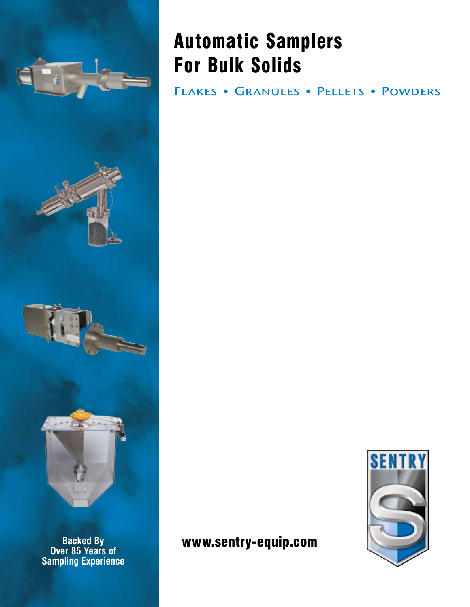

**Backed By<br>Over 85 Years of<br>Sampling Experience** 

# Automatic Samplers For Bulk Solids

FLAKES • GRANULES • PELLETS • POWDERS

### $\bf{w}\bf{w}\bf{w}.\bf{sentry}\text{-}equip.com$

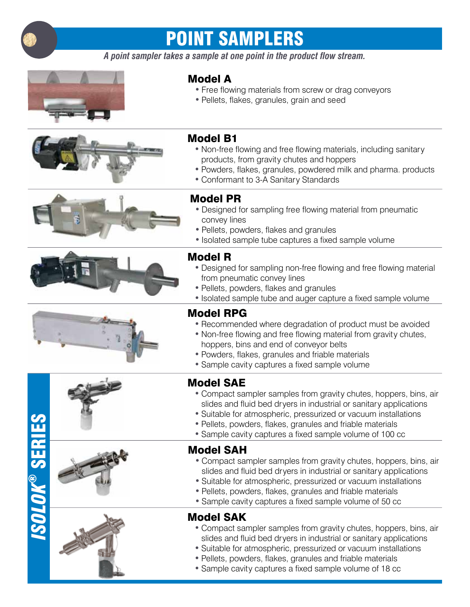

## point samplers

*A point sampler takes a sample at one point in the product flow stream.*



#### Model A

- Free flowing materials from screw or drag conveyors
- Pellets, flakes, granules, grain and seed





- Non-free flowing and free flowing materials, including sanitary products, from gravity chutes and hoppers
- Powders, flakes, granules, powdered milk and pharma, products
- Conformant to 3-A Sanitary Standards













### Model PR

- Designed for sampling free flowing material from pneumatic convey lines
- Pellets, powders, flakes and granules
- Isolated sample tube captures a fixed sample volume

#### Model R

- Designed for sampling non-free flowing and free flowing material from pneumatic convey lines
- Pellets, powders, flakes and granules
- Isolated sample tube and auger capture a fixed sample volume

#### Model RPG

- Recommended where degradation of product must be avoided
- Non-free flowing and free flowing material from gravity chutes, hoppers, bins and end of conveyor belts
- Powders, flakes, granules and friable materials
- Sample cavity captures a fixed sample volume

#### Model SAE

- Compact sampler samples from gravity chutes, hoppers, bins, air slides and fluid bed dryers in industrial or sanitary applications
- Suitable for atmospheric, pressurized or vacuum installations
- Pellets, powders, flakes, granules and friable materials
- Sample cavity captures a fixed sample volume of 100 cc

#### Model SAH

- Compact sampler samples from gravity chutes, hoppers, bins, air slides and fluid bed dryers in industrial or sanitary applications
- Suitable for atmospheric, pressurized or vacuum installations
- Pellets, powders, flakes, granules and friable materials
- Sample cavity captures a fixed sample volume of 50 cc

#### Model SAK

- Compact sampler samples from gravity chutes, hoppers, bins, air slides and fluid bed dryers in industrial or sanitary applications
- • Suitable for atmospheric, pressurized or vacuum installations
- Pellets, powders, flakes, granules and friable materials
- Sample cavity captures a fixed sample volume of 18 cc

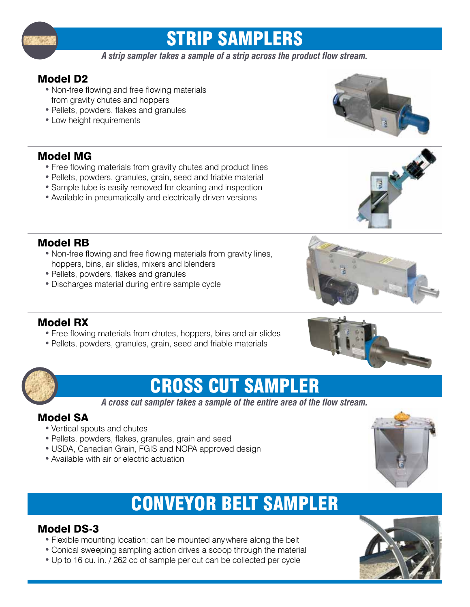

## strip samplers

*A strip sampler takes a sample of a strip across the product flow stream.*

#### Model D2

- Non-free flowing and free flowing materials from gravity chutes and hoppers
- Pellets, powders, flakes and granules
- Low height requirements

#### Model MG

- Free flowing materials from gravity chutes and product lines
- Pellets, powders, granules, grain, seed and friable material
- Sample tube is easily removed for cleaning and inspection
- Available in pneumatically and electrically driven versions

#### Model RB

- Non-free flowing and free flowing materials from gravity lines, hoppers, bins, air slides, mixers and blenders
- Pellets, powders, flakes and granules
- Discharges material during entire sample cycle





#### Model RX

- Free flowing materials from chutes, hoppers, bins and air slides
- Pellets, powders, granules, grain, seed and friable materials



### cross cut sampler

*A cross cut sampler takes a sample of the entire area of the flow stream.*

### Model SA

- Vertical spouts and chutes
- Pellets, powders, flakes, granules, grain and seed
- USDA, Canadian Grain, FGIS and NOPA approved design
- Available with air or electric actuation

### conveyor belt sampler

#### Model DS-3

- Flexible mounting location; can be mounted anywhere along the belt
- Conical sweeping sampling action drives a scoop through the material
- Up to 16 cu. in. / 262 cc of sample per cut can be collected per cycle